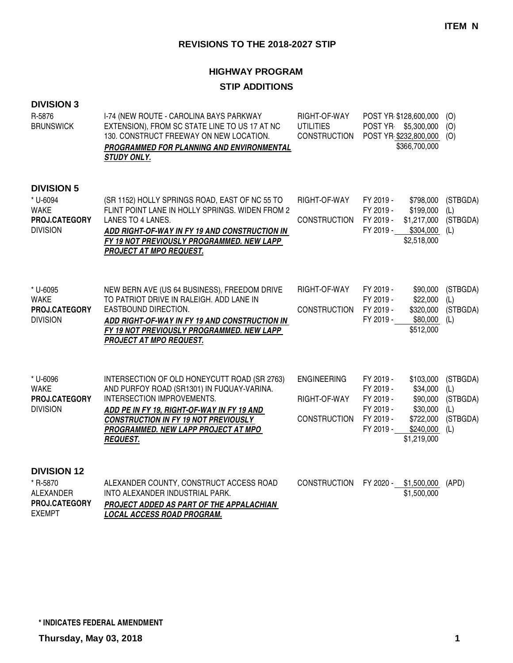# **HIGHWAY PROGRAM**

### **STIP ADDITIONS**

### **DIVISION 3**

| R-5876<br><b>BRUNSWICK</b>                                                       | I-74 (NEW ROUTE - CAROLINA BAYS PARKWAY<br>EXTENSION), FROM SC STATE LINE TO US 17 AT NC<br>130. CONSTRUCT FREEWAY ON NEW LOCATION.<br>PROGRAMMED FOR PLANNING AND ENVIRONMENTAL<br><b>STUDY ONLY.</b>                                                                          | RIGHT-OF-WAY<br><b>UTILITIES</b><br><b>CONSTRUCTION</b>   | POST YR \$128,600,000<br>POST YR \$5,300,000<br>POST YR \$232,800,000<br>\$366,700,000                                                                               | (0)<br>(O)<br>(O)                                     |
|----------------------------------------------------------------------------------|---------------------------------------------------------------------------------------------------------------------------------------------------------------------------------------------------------------------------------------------------------------------------------|-----------------------------------------------------------|----------------------------------------------------------------------------------------------------------------------------------------------------------------------|-------------------------------------------------------|
| <b>DIVISION 5</b><br>* U-6094<br><b>WAKE</b><br>PROJ.CATEGORY<br><b>DIVISION</b> | (SR 1152) HOLLY SPRINGS ROAD, EAST OF NC 55 TO<br>FLINT POINT LANE IN HOLLY SPRINGS. WIDEN FROM 2<br>LANES TO 4 LANES.<br>ADD RIGHT-OF-WAY IN FY 19 AND CONSTRUCTION IN<br>FY 19 NOT PREVIOUSLY PROGRAMMED. NEW LAPP<br><b>PROJECT AT MPO REQUEST.</b>                          | RIGHT-OF-WAY<br><b>CONSTRUCTION</b>                       | FY 2019 -<br>\$798,000<br>FY 2019 -<br>\$199,000<br>FY 2019 -<br>\$1,217,000<br>\$304,000<br>FY 2019 -<br>\$2,518,000                                                | (STBGDA)<br>(L)<br>(STBGDA)<br>(L)                    |
| * U-6095<br><b>WAKE</b><br>PROJ.CATEGORY<br><b>DIVISION</b>                      | NEW BERN AVE (US 64 BUSINESS), FREEDOM DRIVE<br>TO PATRIOT DRIVE IN RALEIGH. ADD LANE IN<br>EASTBOUND DIRECTION.<br>ADD RIGHT-OF-WAY IN FY 19 AND CONSTRUCTION IN<br>FY 19 NOT PREVIOUSLY PROGRAMMED. NEW LAPP<br>PROJECT AT MPO REQUEST.                                       | RIGHT-OF-WAY<br><b>CONSTRUCTION</b>                       | FY 2019 -<br>\$90,000<br>\$22,000<br>FY 2019 -<br>FY 2019 -<br>\$320,000<br>FY 2019 -<br>\$80,000<br>\$512,000                                                       | (STBGDA)<br>(L)<br>(STBGDA)<br>(L)                    |
| * U-6096<br><b>WAKE</b><br>PROJ.CATEGORY<br><b>DIVISION</b>                      | INTERSECTION OF OLD HONEYCUTT ROAD (SR 2763)<br>AND PURFOY ROAD (SR1301) IN FUQUAY-VARINA.<br>INTERSECTION IMPROVEMENTS.<br>ADD PE IN FY 19, RIGHT-OF-WAY IN FY 19 AND<br><b>CONSTRUCTION IN FY 19 NOT PREVIOUSLY</b><br>PROGRAMMED. NEW LAPP PROJECT AT MPO<br><b>REQUEST.</b> | <b>ENGINEERING</b><br>RIGHT-OF-WAY<br><b>CONSTRUCTION</b> | FY 2019 -<br>\$103,000<br>\$34,000<br>FY 2019 -<br>\$90,000<br>FY 2019 -<br>FY 2019 -<br>\$30,000<br>\$722,000<br>FY 2019 -<br>FY 2019 -<br>\$240,000<br>\$1,219,000 | (STBGDA)<br>(L)<br>(STBGDA)<br>(L)<br>(STBGDA)<br>(L) |
| <b>DIVISION 12</b><br>* R-5870<br>ALEXANDER<br>PROJ.CATEGORY                     | ALEXANDER COUNTY, CONSTRUCT ACCESS ROAD<br>INTO ALEXANDER INDUSTRIAL PARK.<br>PROJECT ADDED AS PART OF THE APPALACHIAN                                                                                                                                                          | <b>CONSTRUCTION</b>                                       | FY 2020 - \$1,500,000<br>\$1,500,000                                                                                                                                 | (APD)                                                 |

**LOCAL ACCESS ROAD PROGRAM.**

EXEMPT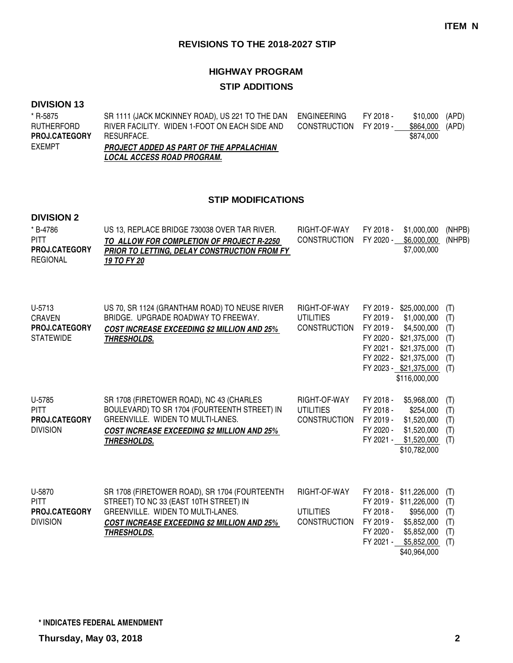# **HIGHWAY PROGRAM STIP ADDITIONS**

#### **DIVISION 13**

| * R-5875             | SR 1111 (JACK MCKINNEY ROAD), US 221 TO THE DAN | ENGINEERING            | FY 2018 - | \$10,000 (APD)  |  |
|----------------------|-------------------------------------------------|------------------------|-----------|-----------------|--|
| RUTHERFORD           | RIVER FACILITY. WIDEN 1-FOOT ON EACH SIDE AND   | CONSTRUCTION FY 2019 - |           | \$864,000 (APD) |  |
| <b>PROJ.CATEGORY</b> | RESURFACE.                                      |                        |           | \$874.000       |  |
| EXEMPT               | PROJECT ADDED AS PART OF THE APPALACHIAN        |                        |           |                 |  |
|                      | <i>LOCAL ACCESS ROAD PROGRAM.</i>               |                        |           |                 |  |

### **STIP MODIFICATIONS**

## **DIVISION 2**

| * B-4786<br><b>PITT</b><br><b>PROJ.CATEGORY</b><br><b>REGIONAL</b>  | US 13, REPLACE BRIDGE 730038 OVER TAR RIVER.<br>TO ALLOW FOR COMPLETION OF PROJECT R-2250<br>PRIOR TO LETTING, DELAY CONSTRUCTION FROM FY<br>19 TO FY 20                                                 | RIGHT-OF-WAY<br><b>CONSTRUCTION</b>                     | FY 2018 -<br>\$1,000,000<br>FY 2020 -<br>\$6,000,000<br>\$7,000,000                                                                                                                                              | (NHPB)<br>(NHPB)                              |
|---------------------------------------------------------------------|----------------------------------------------------------------------------------------------------------------------------------------------------------------------------------------------------------|---------------------------------------------------------|------------------------------------------------------------------------------------------------------------------------------------------------------------------------------------------------------------------|-----------------------------------------------|
| U-5713<br><b>CRAVEN</b><br><b>PROJ.CATEGORY</b><br><b>STATEWIDE</b> | US 70, SR 1124 (GRANTHAM ROAD) TO NEUSE RIVER<br>BRIDGE. UPGRADE ROADWAY TO FREEWAY.<br><b>COST INCREASE EXCEEDING \$2 MILLION AND 25%</b><br><b>THRESHOLDS.</b>                                         | RIGHT-OF-WAY<br><b>UTILITIES</b><br><b>CONSTRUCTION</b> | \$25,000,000<br>FY 2019 -<br>FY 2019 -<br>\$1,000,000<br>FY 2019 -<br>\$4,500,000<br>FY 2020 -<br>\$21,375,000<br>FY 2021 -<br>\$21,375,000<br>FY 2022 - \$21,375,000<br>FY 2023 - \$21,375,000<br>\$116,000,000 | (T)<br>(T)<br>(T)<br>(T)<br>(T)<br>(T)<br>(T) |
| U-5785<br><b>PITT</b><br><b>PROJ.CATEGORY</b><br><b>DIVISION</b>    | SR 1708 (FIRETOWER ROAD), NC 43 (CHARLES<br>BOULEVARD) TO SR 1704 (FOURTEENTH STREET) IN<br>GREENVILLE. WIDEN TO MULTI-LANES.<br><b>COST INCREASE EXCEEDING \$2 MILLION AND 25%</b><br>THRESHOLDS.       | RIGHT-OF-WAY<br><b>UTILITIES</b><br><b>CONSTRUCTION</b> | FY 2018 -<br>\$5,968,000<br>FY 2018 -<br>\$254,000<br>\$1,520,000<br>FY 2019 -<br>FY 2020 -<br>\$1,520,000<br>FY 2021 -<br>\$1,520,000<br>\$10,782,000                                                           | (T)<br>(T)<br>(T)<br>(T)<br>(T)               |
| U-5870<br><b>PITT</b><br>PROJ.CATEGORY<br><b>DIVISION</b>           | SR 1708 (FIRETOWER ROAD), SR 1704 (FOURTEENTH<br>STREET) TO NC 33 (EAST 10TH STREET) IN<br>GREENVILLE. WIDEN TO MULTI-LANES.<br><b>COST INCREASE EXCEEDING \$2 MILLION AND 25%</b><br><b>THRESHOLDS.</b> | RIGHT-OF-WAY<br><b>UTILITIES</b><br><b>CONSTRUCTION</b> | FY 2018 -<br>\$11,226,000<br>FY 2019 -<br>\$11,226,000<br>FY 2018 -<br>\$956,000<br>FY 2019 -<br>\$5,852,000<br>FY 2020 -<br>\$5,852,000<br>FY 2021 -<br>\$5,852,000                                             | (T)<br>(T)<br>(T)<br>(T)<br>(T)<br>(T)        |

\$40,964,000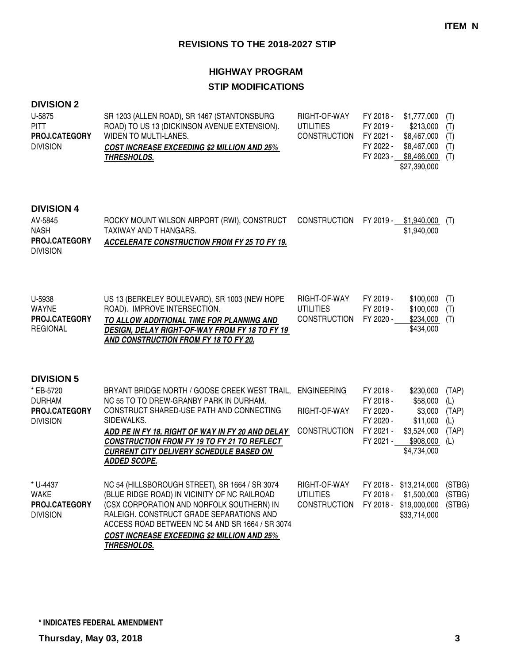# **HIGHWAY PROGRAM STIP MODIFICATIONS**

### **DIVISION 2**

| U-5875               | SR 1203 (ALLEN ROAD), SR 1467 (STANTONSBURG        | RIGHT-OF-WAY           |           | FY 2018 - \$1,777,000 (T) |  |
|----------------------|----------------------------------------------------|------------------------|-----------|---------------------------|--|
| <b>PITT</b>          | ROAD) TO US 13 (DICKINSON AVENUE EXTENSION).       | UTILITIES              | FY 2019 - | $$213,000$ (T)            |  |
| <b>PROJ.CATEGORY</b> | WIDEN TO MULTI-LANES.                              | CONSTRUCTION FY 2021 - |           | \$8,467,000 (T)           |  |
| <b>DIVISION</b>      | <b>COST INCREASE EXCEEDING \$2 MILLION AND 25%</b> |                        | FY 2022 - | \$8,467,000 (T)           |  |
|                      | <i><b>THRESHOLDS.</b></i>                          |                        |           | FY 2023 - \$8,466,000 (T) |  |
|                      |                                                    |                        |           | \$27.390.000              |  |

### **DIVISION 4**

| AV-5845         | ROCKY MOUNT WILSON AIRPORT (RWI), CONSTRUCT CONSTRUCTION FY 2019 - \$1,940,000 (T) |  |             |  |
|-----------------|------------------------------------------------------------------------------------|--|-------------|--|
| <b>NASH</b>     | TAXIWAY AND T HANGARS.                                                             |  | \$1,940,000 |  |
| PROJ.CATEGORY   | <b>ACCELERATE CONSTRUCTION FROM FY 25 TO FY 19.</b>                                |  |             |  |
| <b>DIVISION</b> |                                                                                    |  |             |  |

| U-5938               | US 13 (BERKELEY BOULEVARD), SR 1003 (NEW HOPE         | RIGHT-OF-WAY           | FY 2019 - | $$100,000$ (T) |  |
|----------------------|-------------------------------------------------------|------------------------|-----------|----------------|--|
| WAYNE                | ROAD). IMPROVE INTERSECTION.                          | UTILITIES              | FY 2019 - | $$100,000$ (T) |  |
| <b>PROJ.CATEGORY</b> | TO ALLOW ADDITIONAL TIME FOR PLANNING AND             | CONSTRUCTION FY 2020 - |           | \$234,000 (T)  |  |
| REGIONAL             | <b>DESIGN, DELAY RIGHT-OF-WAY FROM FY 18 TO FY 19</b> |                        |           | \$434,000      |  |
|                      | AND CONSTRUCTION FROM FY 18 TO FY 20.                 |                        |           |                |  |

### **DIVISION 5**

| * EB-5720            | BRYANT BRIDGE NORTH / GOOSE CREEK WEST TRAIL,      | <b>ENGINEERING</b>  | FY 2018 - | \$230,000              | (TAP)  |
|----------------------|----------------------------------------------------|---------------------|-----------|------------------------|--------|
| <b>DURHAM</b>        | NC 55 TO TO DREW-GRANBY PARK IN DURHAM.            |                     | FY 2018 - | \$58,000               | (L)    |
| <b>PROJ.CATEGORY</b> | CONSTRUCT SHARED-USE PATH AND CONNECTING           | RIGHT-OF-WAY        | FY 2020 - | \$3,000                | (TAP)  |
| <b>DIVISION</b>      | SIDEWALKS.                                         |                     | FY 2020 - | \$11,000               | (L)    |
|                      | ADD PE IN FY 18, RIGHT OF WAY IN FY 20 AND DELAY   | <b>CONSTRUCTION</b> | FY 2021 - | \$3,524,000            | (TAP)  |
|                      | <b>CONSTRUCTION FROM FY 19 TO FY 21 TO REFLECT</b> |                     | FY 2021 - | \$908.000              | (L)    |
|                      | <b>CURRENT CITY DELIVERY SCHEDULE BASED ON</b>     |                     |           | \$4,734,000            |        |
|                      | <b>ADDED SCOPE.</b>                                |                     |           |                        |        |
|                      |                                                    |                     |           |                        |        |
| * U-4437             | NC 54 (HILLSBOROUGH STREET), SR 1664 / SR 3074     | RIGHT-OF-WAY        | FY 2018 - | \$13,214,000           | (STBG) |
| WAKE                 | (BLUE RIDGE ROAD) IN VICINITY OF NC RAILROAD       | <b>UTILITIES</b>    | FY 2018 - | \$1,500,000            | (STBG) |
| <b>PROJ.CATEGORY</b> | (CSX CORPORATION AND NORFOLK SOUTHERN) IN          | <b>CONSTRUCTION</b> |           | FY 2018 - \$19,000,000 | (STBG) |
| <b>DIVISION</b>      | RALEIGH. CONSTRUCT GRADE SEPARATIONS AND           |                     |           | \$33,714,000           |        |
|                      | ACCESS ROAD BETWEEN NC 54 AND SR 1664 / SR 3074    |                     |           |                        |        |
|                      | <b>COST INCREASE EXCEEDING \$2 MILLION AND 25%</b> |                     |           |                        |        |
|                      | THRESHOLDS.                                        |                     |           |                        |        |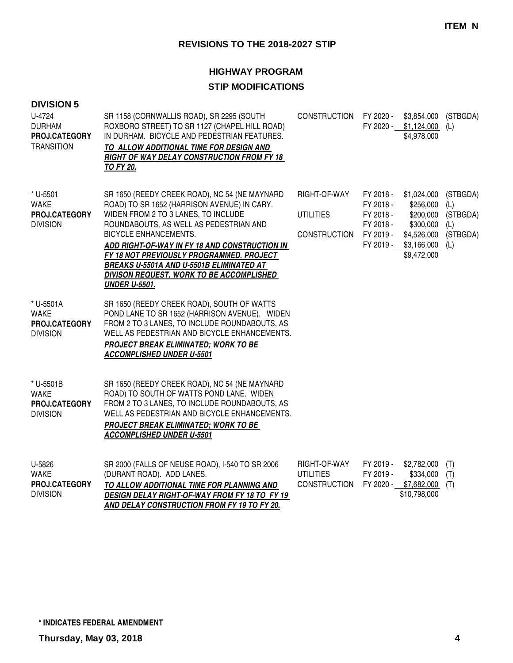# **HIGHWAY PROGRAM STIP MODIFICATIONS**

| <b>DIVISION 5</b><br>U-4724<br><b>DURHAM</b><br>PROJ.CATEGORY<br><b>TRANSITION</b> | SR 1158 (CORNWALLIS ROAD), SR 2295 (SOUTH<br>ROXBORO STREET) TO SR 1127 (CHAPEL HILL ROAD)<br>IN DURHAM. BICYCLE AND PEDESTRIAN FEATURES.<br>TO ALLOW ADDITIONAL TIME FOR DESIGN AND<br><b>RIGHT OF WAY DELAY CONSTRUCTION FROM FY 18</b><br><b>TO FY 20.</b>                                                                                                                                                                     | CONSTRUCTION FY 2020 -                                  | FY 2020 -                                                                  | \$3,854,000<br>\$1,124,000<br>\$4,978,000                                                       | (STBGDA)<br>(L)                                       |
|------------------------------------------------------------------------------------|-----------------------------------------------------------------------------------------------------------------------------------------------------------------------------------------------------------------------------------------------------------------------------------------------------------------------------------------------------------------------------------------------------------------------------------|---------------------------------------------------------|----------------------------------------------------------------------------|-------------------------------------------------------------------------------------------------|-------------------------------------------------------|
| * U-5501<br><b>WAKE</b><br>PROJ.CATEGORY<br><b>DIVISION</b>                        | SR 1650 (REEDY CREEK ROAD), NC 54 (NE MAYNARD<br>ROAD) TO SR 1652 (HARRISON AVENUE) IN CARY.<br>WIDEN FROM 2 TO 3 LANES, TO INCLUDE<br>ROUNDABOUTS, AS WELL AS PEDESTRIAN AND<br><b>BICYCLE ENHANCEMENTS.</b><br>ADD RIGHT-OF-WAY IN FY 18 AND CONSTRUCTION IN<br>FY 18 NOT PREVIOUSLY PROGRAMMED. PROJECT<br><b>BREAKS U-5501A AND U-5501B ELIMINATED AT</b><br>DIVISON REQUEST. WORK TO BE ACCOMPLISHED<br><b>UNDER U-5501.</b> | RIGHT-OF-WAY<br><b>UTILITIES</b><br><b>CONSTRUCTION</b> | FY 2018 -<br>FY 2018 -<br>FY 2018 -<br>FY 2018 -<br>FY 2019 -<br>FY 2019 - | \$1,024,000<br>\$256,000<br>\$200,000<br>\$300,000<br>\$4,526,000<br>\$3,166,000<br>\$9,472,000 | (STBGDA)<br>(L)<br>(STBGDA)<br>(L)<br>(STBGDA)<br>(L) |
| * U-5501A<br><b>WAKE</b><br>PROJ.CATEGORY<br><b>DIVISION</b>                       | SR 1650 (REEDY CREEK ROAD), SOUTH OF WATTS<br>POND LANE TO SR 1652 (HARRISON AVENUE). WIDEN<br>FROM 2 TO 3 LANES, TO INCLUDE ROUNDABOUTS, AS<br>WELL AS PEDESTRIAN AND BICYCLE ENHANCEMENTS.<br><b>PROJECT BREAK ELIMINATED; WORK TO BE</b><br><b>ACCOMPLISHED UNDER U-5501</b>                                                                                                                                                   |                                                         |                                                                            |                                                                                                 |                                                       |
| * U-5501B<br><b>WAKE</b><br><b>PROJ.CATEGORY</b><br><b>DIVISION</b>                | SR 1650 (REEDY CREEK ROAD), NC 54 (NE MAYNARD<br>ROAD) TO SOUTH OF WATTS POND LANE. WIDEN<br>FROM 2 TO 3 LANES, TO INCLUDE ROUNDABOUTS, AS<br>WELL AS PEDESTRIAN AND BICYCLE ENHANCEMENTS.<br><b>PROJECT BREAK ELIMINATED; WORK TO BE</b><br><b>ACCOMPLISHED UNDER U-5501</b>                                                                                                                                                     |                                                         |                                                                            |                                                                                                 |                                                       |
| U-5826<br><b>WAKE</b><br>PROJ.CATEGORY<br><b>DIVISION</b>                          | SR 2000 (FALLS OF NEUSE ROAD), I-540 TO SR 2006<br>(DURANT ROAD). ADD LANES.<br>TO ALLOW ADDITIONAL TIME FOR PLANNING AND<br>DESIGN DELAY RIGHT-OF-WAY FROM FY 18 TO FY 19                                                                                                                                                                                                                                                        | RIGHT-OF-WAY<br><b>UTILITIES</b><br><b>CONSTRUCTION</b> | FY 2019 -<br>FY 2019 -<br>FY 2020 -                                        | \$2,782,000<br>\$334,000<br>\$7,682,000<br>\$10,798,000                                         | (T)<br>(T)<br>(T)                                     |

**AND DELAY CONSTRUCTION FROM FY 19 TO FY 20.**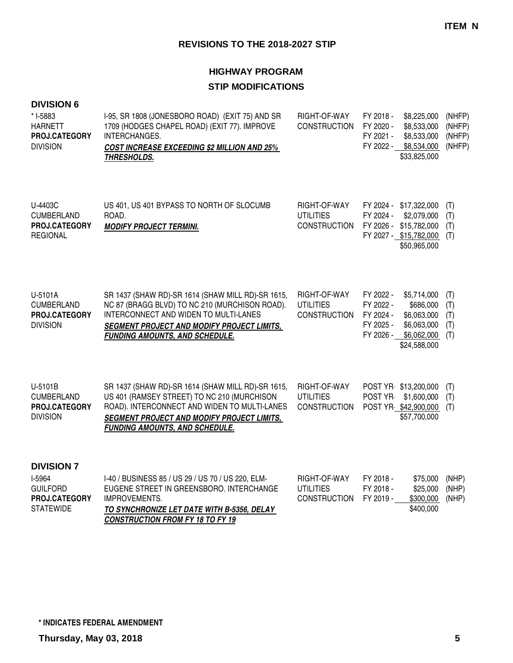# **HIGHWAY PROGRAM STIP MODIFICATIONS**

| <b>DIVISION 6</b><br>* I-5883<br><b>HARNETT</b><br>PROJ.CATEGORY<br><b>DIVISION</b> | I-95, SR 1808 (JONESBORO ROAD) (EXIT 75) AND SR<br>1709 (HODGES CHAPEL ROAD) (EXIT 77). IMPROVE<br>INTERCHANGES.<br><b>COST INCREASE EXCEEDING \$2 MILLION AND 25%</b><br>THRESHOLDS.                                                          | RIGHT-OF-WAY<br><b>CONSTRUCTION</b>                     | FY 2018 -<br>FY 2020 -<br>FY 2021 -<br>FY 2022 -              | \$8,225,000<br>\$8,533,000<br>\$8,533,000<br>\$8,534,000<br>\$33,825,000                                  | (NHFP)<br>(NHFP)<br>(NHFP)<br>(NHFP) |
|-------------------------------------------------------------------------------------|------------------------------------------------------------------------------------------------------------------------------------------------------------------------------------------------------------------------------------------------|---------------------------------------------------------|---------------------------------------------------------------|-----------------------------------------------------------------------------------------------------------|--------------------------------------|
| U-4403C<br><b>CUMBERLAND</b><br>PROJ.CATEGORY<br><b>REGIONAL</b>                    | US 401, US 401 BYPASS TO NORTH OF SLOCUMB<br>ROAD.<br><b>MODIFY PROJECT TERMINI.</b>                                                                                                                                                           | RIGHT-OF-WAY<br><b>UTILITIES</b><br><b>CONSTRUCTION</b> | FY 2024 -                                                     | FY 2024 - \$17,322,000<br>\$2,079,000<br>FY 2026 - \$15,782,000<br>FY 2027 - \$15,782,000<br>\$50,965,000 | (T)<br>(T)<br>(T)<br>(T)             |
| U-5101A<br><b>CUMBERLAND</b><br>PROJ.CATEGORY<br><b>DIVISION</b>                    | SR 1437 (SHAW RD)-SR 1614 (SHAW MILL RD)-SR 1615,<br>NC 87 (BRAGG BLVD) TO NC 210 (MURCHISON ROAD).<br>INTERCONNECT AND WIDEN TO MULTI-LANES<br><b>SEGMENT PROJECT AND MODIFY PROJECT LIMITS,</b><br><b>FUNDING AMOUNTS, AND SCHEDULE.</b>     | RIGHT-OF-WAY<br><b>UTILITIES</b><br><b>CONSTRUCTION</b> | FY 2022 -<br>FY 2022 -<br>FY 2024 -<br>FY 2025 -<br>FY 2026 - | \$5,714,000<br>\$686,000<br>\$6,063,000<br>\$6,063,000<br>\$6,062,000<br>\$24,588,000                     | (T)<br>(T)<br>(T)<br>(T)<br>(T)      |
| U-5101B<br><b>CUMBERLAND</b><br>PROJ.CATEGORY<br><b>DIVISION</b>                    | SR 1437 (SHAW RD)-SR 1614 (SHAW MILL RD)-SR 1615,<br>US 401 (RAMSEY STREET) TO NC 210 (MURCHISON<br>ROAD). INTERCONNECT AND WIDEN TO MULTI-LANES<br><b>SEGMENT PROJECT AND MODIFY PROJECT LIMITS,</b><br><b>FUNDING AMOUNTS, AND SCHEDULE.</b> | RIGHT-OF-WAY<br><b>UTILITIES</b><br><b>CONSTRUCTION</b> | POST YR-                                                      | POST YR \$13,200,000<br>\$1,600,000<br>POST YR \$42,900,000<br>\$57,700,000                               | (T)<br>(T)<br>(T)                    |
| <b>DIVISION 7</b><br>I-5964<br><b>GUILFORD</b><br>PROJ.CATEGORY<br><b>STATEWIDE</b> | I-40 / BUSINESS 85 / US 29 / US 70 / US 220, ELM-<br>EUGENE STREET IN GREENSBORO. INTERCHANGE<br><b>IMPROVEMENTS.</b><br>TO SYNCHRONIZE LET DATE WITH B-5356. DELAY                                                                            | RIGHT-OF-WAY<br><b>UTILITIES</b><br><b>CONSTRUCTION</b> | FY 2018 -<br>FY 2018 -<br>FY 2019 -                           | \$75,000<br>\$25,000<br>\$300,000<br>\$400,000                                                            | (NHP)<br>(NHP)<br>(NHP)              |

**TO SYNCHRONIZE LET DATE WITH B-5356, DELAY CONSTRUCTION FROM FY 18 TO FY 19**

| <b>UTILITIES</b>    | FY 2018 - | $$25,000$ (N |  |
|---------------------|-----------|--------------|--|
| <b>CONSTRUCTION</b> | FY 2019 - | \$300,000 (N |  |
|                     |           | \$400,000    |  |
|                     |           |              |  |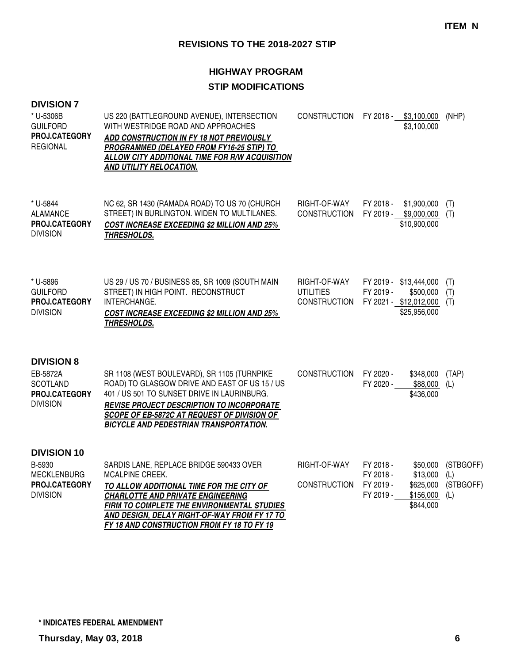| <b>DIVISION 7</b><br>* U-5306B<br><b>GUILFORD</b><br>PROJ.CATEGORY<br><b>REGIONAL</b>  | US 220 (BATTLEGROUND AVENUE), INTERSECTION<br>WITH WESTRIDGE ROAD AND APPROACHES<br>ADD CONSTRUCTION IN FY 18 NOT PREVIOUSLY<br>PROGRAMMED (DELAYED FROM FY16-25 STIP) TO<br><b>ALLOW CITY ADDITIONAL TIME FOR R/W ACQUISITION</b><br>AND UTILITY RELOCATION.                                   |                                                         | CONSTRUCTION FY 2018 - \$3,100,000<br>\$3,100,000                                                               | (NHP)                                |
|----------------------------------------------------------------------------------------|-------------------------------------------------------------------------------------------------------------------------------------------------------------------------------------------------------------------------------------------------------------------------------------------------|---------------------------------------------------------|-----------------------------------------------------------------------------------------------------------------|--------------------------------------|
| * U-5844<br><b>ALAMANCE</b><br>PROJ.CATEGORY<br><b>DIVISION</b>                        | NC 62, SR 1430 (RAMADA ROAD) TO US 70 (CHURCH<br>STREET) IN BURLINGTON. WIDEN TO MULTILANES.<br><b>COST INCREASE EXCEEDING \$2 MILLION AND 25%</b><br>THRESHOLDS.                                                                                                                               | RIGHT-OF-WAY<br><b>CONSTRUCTION</b>                     | \$1,900,000<br>FY 2018 -<br>FY 2019 - \$9,000,000<br>\$10,900,000                                               | (T)<br>(T)                           |
| * U-5896<br><b>GUILFORD</b><br>PROJ.CATEGORY<br><b>DIVISION</b>                        | US 29 / US 70 / BUSINESS 85, SR 1009 (SOUTH MAIN<br>STREET) IN HIGH POINT. RECONSTRUCT<br>INTERCHANGE.<br><b>COST INCREASE EXCEEDING \$2 MILLION AND 25%</b><br>THRESHOLDS.                                                                                                                     | RIGHT-OF-WAY<br><b>UTILITIES</b><br><b>CONSTRUCTION</b> | FY 2019 - \$13,444,000<br>FY 2019 -<br>\$500,000<br>FY 2021 - \$12,012,000<br>\$25,956,000                      | (T)<br>(T)<br>(T)                    |
| <b>DIVISION 8</b><br>EB-5872A<br><b>SCOTLAND</b><br>PROJ.CATEGORY<br><b>DIVISION</b>   | SR 1108 (WEST BOULEVARD), SR 1105 (TURNPIKE<br>ROAD) TO GLASGOW DRIVE AND EAST OF US 15 / US<br>401 / US 501 TO SUNSET DRIVE IN LAURINBURG.<br><b>REVISE PROJECT DESCRIPTION TO INCORPORATE</b><br>SCOPE OF EB-5872C AT REQUEST OF DIVISION OF<br><b>BICYCLE AND PEDESTRIAN TRANSPORTATION.</b> | <b>CONSTRUCTION</b>                                     | FY 2020 -<br>\$348,000<br>FY 2020 -<br>\$88,000<br>\$436,000                                                    | (TAP)<br>(L)                         |
| <b>DIVISION 10</b><br>B-5930<br><b>MECKLENBURG</b><br>PROJ.CATEGORY<br><b>DIVISION</b> | SARDIS LANE, REPLACE BRIDGE 590433 OVER<br>MCALPINE CREEK.<br>TO ALLOW ADDITIONAL TIME FOR THE CITY OF<br><b>CHARLOTTE AND PRIVATE ENGINEERING</b><br>FIRM TO COMPLETE THE ENVIRONMENTAL STUDIES<br>AND DESIGN, DELAY RIGHT-OF-WAY FROM FY 17 TO<br>FY 18 AND CONSTRUCTION FROM FY 18 TO FY 19  | RIGHT-OF-WAY<br><b>CONSTRUCTION</b>                     | FY 2018 -<br>\$50,000<br>\$13,000<br>FY 2018 -<br>FY 2019 -<br>\$625,000<br>FY 2019 -<br>\$156,000<br>\$844,000 | (STBGOFF)<br>(L)<br>(STBGOFF)<br>(L) |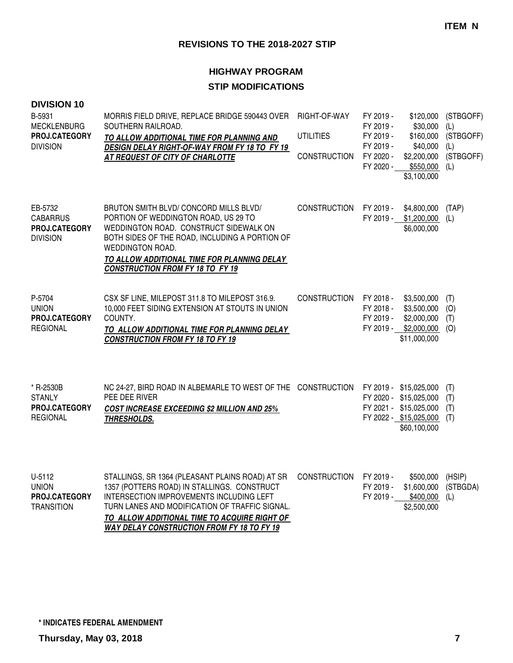| <b>DIVISION 10</b><br>B-5931<br><b>MECKLENBURG</b><br>PROJ.CATEGORY<br><b>DIVISION</b> | MORRIS FIELD DRIVE, REPLACE BRIDGE 590443 OVER<br>SOUTHERN RAILROAD.<br>TO ALLOW ADDITIONAL TIME FOR PLANNING AND<br>DESIGN DELAY RIGHT-OF-WAY FROM FY 18 TO FY 19<br>AT REQUEST OF CITY OF CHARLOTTE                                                                                             | RIGHT-OF-WAY<br><b>UTILITIES</b><br><b>CONSTRUCTION</b> | FY 2019 -<br>\$120,000<br>\$30,000<br>FY 2019 -<br>FY 2019 -<br>FY 2019 -<br>\$40,000<br>\$2,200,000<br>FY 2020 -<br>FY 2020 -<br>$$550,000$ (L)<br>\$3,100,000 | (STBGOFF)<br>(L)<br>\$160,000 (STBGOFF)<br>(L)<br>(STBGOFF) |
|----------------------------------------------------------------------------------------|---------------------------------------------------------------------------------------------------------------------------------------------------------------------------------------------------------------------------------------------------------------------------------------------------|---------------------------------------------------------|-----------------------------------------------------------------------------------------------------------------------------------------------------------------|-------------------------------------------------------------|
| EB-5732<br><b>CABARRUS</b><br>PROJ.CATEGORY<br><b>DIVISION</b>                         | BRUTON SMITH BLVD/ CONCORD MILLS BLVD/<br>PORTION OF WEDDINGTON ROAD, US 29 TO<br>WEDDINGTON ROAD. CONSTRUCT SIDEWALK ON<br>BOTH SIDES OF THE ROAD, INCLUDING A PORTION OF<br>WEDDINGTON ROAD.<br>TO ALLOW ADDITIONAL TIME FOR PLANNING DELAY<br><b>CONSTRUCTION FROM FY 18 TO FY 19</b>          | <b>CONSTRUCTION</b>                                     | FY 2019 -<br>\$4,800,000<br>FY 2019 - \$1,200,000 (L)<br>\$6,000,000                                                                                            | (TAP)                                                       |
| P-5704<br><b>UNION</b><br>PROJ.CATEGORY<br><b>REGIONAL</b>                             | CSX SF LINE, MILEPOST 311.8 TO MILEPOST 316.9.<br>10,000 FEET SIDING EXTENSION AT STOUTS IN UNION<br>COUNTY.<br>TO ALLOW ADDITIONAL TIME FOR PLANNING DELAY<br><b>CONSTRUCTION FROM FY 18 TO FY 19</b>                                                                                            | <b>CONSTRUCTION</b>                                     | FY 2018 -<br>\$3,500,000<br>FY 2018 -<br>\$3,500,000<br>\$2,000,000<br>FY 2019 -<br>FY 2019 - \$2,000,000<br>\$11,000,000                                       | (T)<br>(O)<br>(T)<br>(O)                                    |
| * R-2530B<br><b>STANLY</b><br>PROJ.CATEGORY<br><b>REGIONAL</b>                         | NC 24-27, BIRD ROAD IN ALBEMARLE TO WEST OF THE CONSTRUCTION<br>PEE DEE RIVER<br><b>COST INCREASE EXCEEDING \$2 MILLION AND 25%</b><br>THRESHOLDS.                                                                                                                                                |                                                         | FY 2019 - \$15,025,000<br>FY 2020 - \$15,025,000<br>FY 2021 - \$15,025,000<br>FY 2022 - \$15,025,000 (T)<br>\$60,100,000                                        | (T)<br>(T)<br>(T)                                           |
| U-5112<br><b>UNION</b><br>PROJ.CATEGORY<br><b>TRANSITION</b>                           | STALLINGS, SR 1364 (PLEASANT PLAINS ROAD) AT SR<br>1357 (POTTERS ROAD) IN STALLINGS. CONSTRUCT<br>INTERSECTION IMPROVEMENTS INCLUDING LEFT<br>TURN LANES AND MODIFICATION OF TRAFFIC SIGNAL.<br>TO ALLOW ADDITIONAL TIME TO ACQUIRE RIGHT OF<br><b>WAY DELAY CONSTRUCTION FROM FY 18 TO FY 19</b> | <b>CONSTRUCTION</b>                                     | FY 2019 -<br>\$500,000<br>FY 2019 -<br>\$1,600,000<br>FY 2019 -<br>\$400,000<br>\$2,500,000                                                                     | (HSIP)<br>(STBGDA)<br>(L)                                   |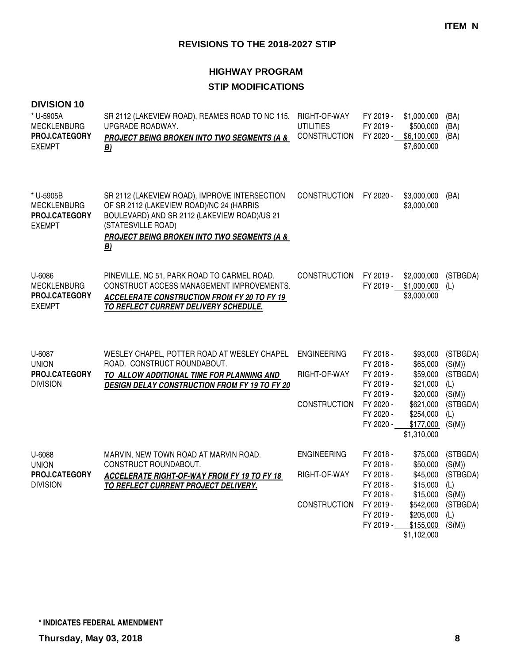| <b>DIVISION 10</b><br>* U-5905A<br><b>MECKLENBURG</b><br><b>PROJ.CATEGORY</b><br><b>EXEMPT</b> | SR 2112 (LAKEVIEW ROAD), REAMES ROAD TO NC 115.<br>UPGRADE ROADWAY.<br>PROJECT BEING BROKEN INTO TWO SEGMENTS (A &<br>B)                                                                                                               | RIGHT-OF-WAY<br><b>UTILITIES</b><br><b>CONSTRUCTION</b>   | FY 2019 -<br>FY 2019 -                                                                               | \$1,000,000<br>\$500,000<br>FY 2020 - \$6,100,000<br>\$7,600,000                                               | (BA)<br>(BA)<br>(BA)                                                                  |
|------------------------------------------------------------------------------------------------|----------------------------------------------------------------------------------------------------------------------------------------------------------------------------------------------------------------------------------------|-----------------------------------------------------------|------------------------------------------------------------------------------------------------------|----------------------------------------------------------------------------------------------------------------|---------------------------------------------------------------------------------------|
| * U-5905B<br><b>MECKLENBURG</b><br>PROJ.CATEGORY<br><b>EXEMPT</b>                              | SR 2112 (LAKEVIEW ROAD), IMPROVE INTERSECTION<br>OF SR 2112 (LAKEVIEW ROAD)/NC 24 (HARRIS<br>BOULEVARD) AND SR 2112 (LAKEVIEW ROAD)/US 21<br>(STATESVILLE ROAD)<br><b>PROJECT BEING BROKEN INTO TWO SEGMENTS (A &amp;</b><br><u>B)</u> | <b>CONSTRUCTION</b>                                       | FY 2020 -                                                                                            | \$3,000,000<br>\$3,000,000                                                                                     | (BA)                                                                                  |
| U-6086<br><b>MECKLENBURG</b><br>PROJ.CATEGORY<br><b>EXEMPT</b>                                 | PINEVILLE, NC 51, PARK ROAD TO CARMEL ROAD.<br>CONSTRUCT ACCESS MANAGEMENT IMPROVEMENTS.<br><b>ACCELERATE CONSTRUCTION FROM FY 20 TO FY 19</b><br><b>TO REFLECT CURRENT DELIVERY SCHEDULE.</b>                                         | <b>CONSTRUCTION</b>                                       | FY 2019 -                                                                                            | \$2,000,000<br>FY 2019 - \$1,000,000<br>\$3,000,000                                                            | (STBGDA)<br>(L)                                                                       |
| U-6087<br><b>UNION</b><br>PROJ.CATEGORY<br><b>DIVISION</b>                                     | WESLEY CHAPEL, POTTER ROAD AT WESLEY CHAPEL<br>ROAD. CONSTRUCT ROUNDABOUT.<br>TO ALLOW ADDITIONAL TIME FOR PLANNING AND<br>DESIGN DELAY CONSTRUCTION FROM FY 19 TO FY 20                                                               | <b>ENGINEERING</b><br>RIGHT-OF-WAY<br><b>CONSTRUCTION</b> | FY 2018 -<br>FY 2018 -<br>FY 2019 -<br>FY 2019 -<br>FY 2019 -<br>FY 2020 -<br>FY 2020 -<br>FY 2020 - | \$93,000<br>\$65,000<br>\$59,000<br>\$21,000<br>\$20,000<br>\$621,000<br>\$254,000<br>\$177,000<br>\$1,310,000 | (STBGDA)<br>(S(M))<br>(STBGDA)<br>(L)<br>(S(M))<br>(STBGDA)<br>(L)<br>(S(M))          |
| U-6088<br><b>UNION</b><br><b>PROJ.CATEGORY</b><br><b>DIVISION</b>                              | MARVIN, NEW TOWN ROAD AT MARVIN ROAD.<br>CONSTRUCT ROUNDABOUT.<br><b>ACCELERATE RIGHT-OF-WAY FROM FY 19 TO FY 18</b><br>TO REFLECT CURRENT PROJECT DELIVERY.                                                                           | <b>ENGINEERING</b><br>RIGHT-OF-WAY<br><b>CONSTRUCTION</b> | FY 2018 -<br>FY 2018 -<br>FY 2018 -<br>FY 2018 -<br>FY 2018 -<br>FY 2019 -<br>FY 2019 -<br>FY 2019 - | \$75,000<br>\$50,000<br>\$15,000<br>\$15,000<br>\$542,000<br>\$205,000<br>\$155,000<br>\$1,102,000             | (STBGDA)<br>(S(M))<br>\$45,000 (STBGDA)<br>(L)<br>(S(M))<br>(STBGDA)<br>(L)<br>(S(M)) |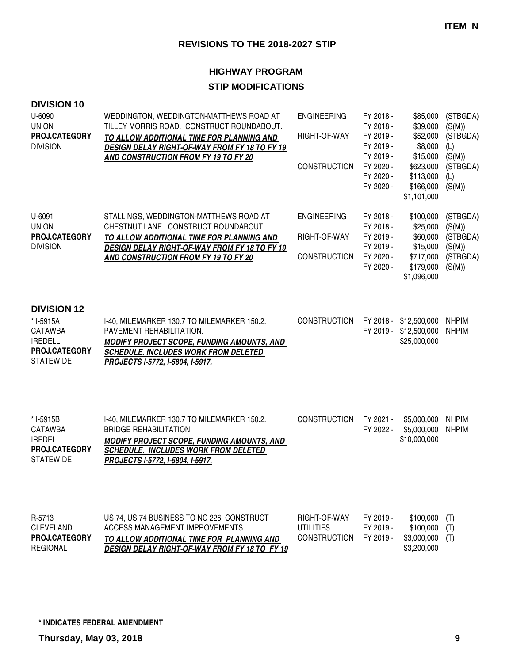| <b>DIVISION 10</b><br>U-6090<br><b>UNION</b><br>PROJ.CATEGORY<br><b>DIVISION</b>                         | WEDDINGTON, WEDDINGTON-MATTHEWS ROAD AT<br>TILLEY MORRIS ROAD. CONSTRUCT ROUNDABOUT.<br>TO ALLOW ADDITIONAL TIME FOR PLANNING AND<br><b>DESIGN DELAY RIGHT-OF-WAY FROM FY 18 TO FY 19</b><br>AND CONSTRUCTION FROM FY 19 TO FY 20  | <b>ENGINEERING</b><br>RIGHT-OF-WAY<br><b>CONSTRUCTION</b> | FY 2018 -<br>FY 2018 -<br>FY 2019 -<br>FY 2019 -<br>FY 2019 -<br>FY 2020 -<br>FY 2020 -<br>FY 2020 - | \$85,000<br>\$39,000<br>\$52,000<br>\$8,000<br>\$15,000<br>\$623,000<br>\$113,000<br>\$166,000<br>\$1,101,000 | (STBGDA)<br>(S(M))<br>(STBGDA)<br>(L)<br>(S(M))<br>(STBGDA)<br>(L)<br>(S(M)) |
|----------------------------------------------------------------------------------------------------------|------------------------------------------------------------------------------------------------------------------------------------------------------------------------------------------------------------------------------------|-----------------------------------------------------------|------------------------------------------------------------------------------------------------------|---------------------------------------------------------------------------------------------------------------|------------------------------------------------------------------------------|
| U-6091<br><b>UNION</b><br>PROJ.CATEGORY<br><b>DIVISION</b>                                               | STALLINGS, WEDDINGTON-MATTHEWS ROAD AT<br>CHESTNUT LANE. CONSTRUCT ROUNDABOUT.<br>TO ALLOW ADDITIONAL TIME FOR PLANNING AND<br><b>DESIGN DELAY RIGHT-OF-WAY FROM FY 18 TO FY 19</b><br><b>AND CONSTRUCTION FROM FY 19 TO FY 20</b> | <b>ENGINEERING</b><br>RIGHT-OF-WAY<br><b>CONSTRUCTION</b> | FY 2018 -<br>FY 2018 -<br>FY 2019 -<br>FY 2019 -<br>FY 2020 -<br>FY 2020 -                           | \$100,000<br>\$25,000<br>\$60,000<br>\$15,000<br>\$717,000<br>\$179,000<br>\$1,096,000                        | (STBGDA)<br>(S(M))<br>(STBGDA)<br>(S(M))<br>(STBGDA)<br>(S(M))               |
| <b>DIVISION 12</b><br>* I-5915A<br><b>CATAWBA</b><br><b>IREDELL</b><br>PROJ.CATEGORY<br><b>STATEWIDE</b> | I-40, MILEMARKER 130.7 TO MILEMARKER 150.2.<br>PAVEMENT REHABILITATION.<br><b>MODIFY PROJECT SCOPE, FUNDING AMOUNTS, AND</b><br><b>SCHEDULE. INCLUDES WORK FROM DELETED</b><br>PROJECTS I-5772, I-5804, I-5917.                    | <b>CONSTRUCTION</b>                                       |                                                                                                      | FY 2018 - \$12,500,000<br>FY 2019 - \$12,500,000<br>\$25,000,000                                              | <b>NHPIM</b><br><b>NHPIM</b>                                                 |
| * I-5915B<br><b>CATAWBA</b><br><b>IREDELL</b><br>PROJ.CATEGORY<br><b>STATEWIDE</b>                       | I-40, MILEMARKER 130.7 TO MILEMARKER 150.2.<br><b>BRIDGE REHABILITATION.</b><br><b>MODIFY PROJECT SCOPE, FUNDING AMOUNTS, AND</b><br><b>SCHEDULE. INCLUDES WORK FROM DELETED</b><br>PROJECTS I-5772, I-5804, I-5917.               | <b>CONSTRUCTION</b>                                       | FY 2021 -<br>FY 2022 -                                                                               | \$5,000,000<br>\$5,000,000<br>\$10,000,000                                                                    | <b>NHPIM</b><br><b>NHPIM</b>                                                 |
| R-5713<br><b>CLEVELAND</b><br><b>PROJ.CATEGORY</b><br><b>REGIONAL</b>                                    | US 74, US 74 BUSINESS TO NC 226. CONSTRUCT<br>ACCESS MANAGEMENT IMPROVEMENTS.<br>TO ALLOW ADDITIONAL TIME FOR PLANNING AND<br>DESIGN DELAY RIGHT-OF-WAY FROM FY 18 TO FY 19                                                        | RIGHT-OF-WAY<br><b>UTILITIES</b><br><b>CONSTRUCTION</b>   | FY 2019 -<br>FY 2019 -                                                                               | \$100,000<br>\$100,000<br>FY 2019 - \$3,000,000<br>\$3,200,000                                                | (T)<br>(T)<br>(T)                                                            |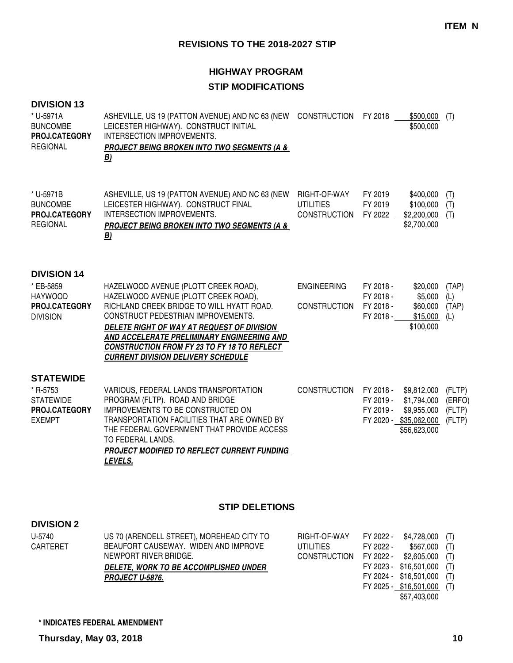## **HIGHWAY PROGRAM**

## **STIP MODIFICATIONS**

### **DIVISION 13**

| * U-5971A<br><b>BUNCOMBE</b><br>PROJ.CATEGORY<br><b>REGIONAL</b>                             | ASHEVILLE, US 19 (PATTON AVENUE) AND NC 63 (NEW CONSTRUCTION<br>LEICESTER HIGHWAY). CONSTRUCT INITIAL<br>INTERSECTION IMPROVEMENTS.<br><b>PROJECT BEING BROKEN INTO TWO SEGMENTS (A &amp;</b><br>B)                                                                                                                                                            |                                                          | FY 2018                                          | \$500,000<br>\$500,000                                                              | (T)                                  |
|----------------------------------------------------------------------------------------------|----------------------------------------------------------------------------------------------------------------------------------------------------------------------------------------------------------------------------------------------------------------------------------------------------------------------------------------------------------------|----------------------------------------------------------|--------------------------------------------------|-------------------------------------------------------------------------------------|--------------------------------------|
| * U-5971B<br><b>BUNCOMBE</b><br>PROJ.CATEGORY<br><b>REGIONAL</b>                             | ASHEVILLE, US 19 (PATTON AVENUE) AND NC 63 (NEW<br>LEICESTER HIGHWAY). CONSTRUCT FINAL<br><b>INTERSECTION IMPROVEMENTS.</b><br><b>PROJECT BEING BROKEN INTO TWO SEGMENTS (A &amp;</b><br><u>B)</u>                                                                                                                                                             | RIGHT-OF-WAY<br><b>UTILITIES</b><br>CONSTRUCTION FY 2022 | FY 2019<br>FY 2019                               | \$400,000<br>\$100,000<br>\$2,200,000<br>\$2,700,000                                | (T)<br>(T)<br>(T)                    |
| <b>DIVISION 14</b><br>* EB-5859<br><b>HAYWOOD</b><br><b>PROJ.CATEGORY</b><br><b>DIVISION</b> | HAZELWOOD AVENUE (PLOTT CREEK ROAD),<br>HAZELWOOD AVENUE (PLOTT CREEK ROAD),<br>RICHLAND CREEK BRIDGE TO WILL HYATT ROAD.<br>CONSTRUCT PEDESTRIAN IMPROVEMENTS.<br>DELETE RIGHT OF WAY AT REQUEST OF DIVISION<br>AND ACCELERATE PRELIMINARY ENGINEERING AND<br><b>CONSTRUCTION FROM FY 23 TO FY 18 TO REFLECT</b><br><b>CURRENT DIVISION DELIVERY SCHEDULE</b> | <b>ENGINEERING</b><br><b>CONSTRUCTION</b>                | FY 2018 -<br>FY 2018 -<br>FY 2018 -<br>FY 2018 - | \$20,000<br>\$5,000<br>\$60,000<br>\$15,000<br>\$100,000                            | (TAP)<br>(L)<br>(TAP)<br>(L)         |
| <b>STATEWIDE</b><br>* R-5753<br><b>STATEWIDE</b><br>PROJ.CATEGORY<br><b>EXEMPT</b>           | VARIOUS, FEDERAL LANDS TRANSPORTATION<br>PROGRAM (FLTP). ROAD AND BRIDGE<br>IMPROVEMENTS TO BE CONSTRUCTED ON<br>TRANSPORTATION FACILITIES THAT ARE OWNED BY<br>THE FEDERAL GOVERNMENT THAT PROVIDE ACCESS<br>TO FEDERAL LANDS.<br><b>PROJECT MODIFIED TO REFLECT CURRENT FUNDING</b><br>LEVELS.                                                               | <b>CONSTRUCTION</b>                                      | FY 2018 -<br>FY 2019 -<br>FY 2019 -              | \$9,812,000<br>\$1,794,000<br>\$9,955,000<br>FY 2020 - \$35,062,000<br>\$56,623,000 | (FLTP)<br>(ERFO)<br>(FLTP)<br>(FLTP) |

### **STIP DELETIONS**

#### **DIVISION 2**

| U-5740   | US 70 (ARENDELL STREET), MOREHEAD CITY TO | RIGHT-OF-WAY                           |           | FY 2022 - \$4,728,000 (T)  |  |
|----------|-------------------------------------------|----------------------------------------|-----------|----------------------------|--|
| CARTERET | BEAUFORT CAUSEWAY. WIDEN AND IMPROVE      | UTILITIES                              | FY 2022 - | $$567,000$ (T)             |  |
|          | NEWPORT RIVER BRIDGE.                     | CONSTRUCTION FY 2022 - \$2,605,000 (T) |           |                            |  |
|          | DELETE, WORK TO BE ACCOMPLISHED UNDER     |                                        |           | FY 2023 - \$16,501,000 (T) |  |
|          | PROJECT U-5876.                           |                                        |           | FY 2024 - \$16,501,000 (T) |  |
|          |                                           |                                        |           | FY 2025 - \$16,501,000 (T) |  |
|          |                                           |                                        |           | \$57,403,000               |  |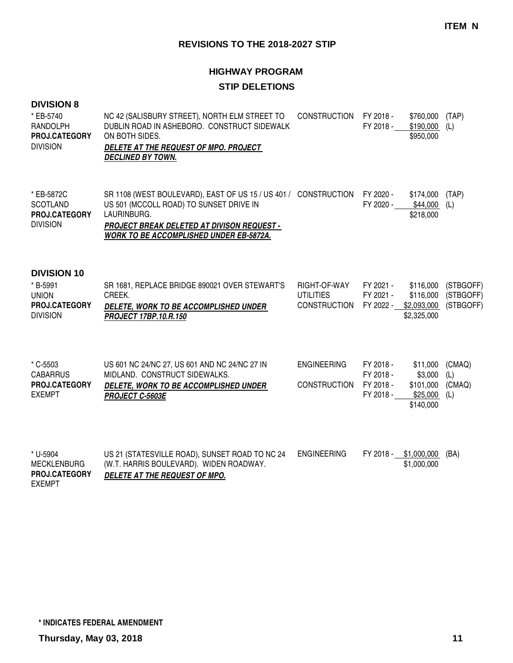# **HIGHWAY PROGRAM STIP DELETIONS**

### **DIVISION 8**

| * EB-5740<br>RANDOLPH<br>PROJ.CATEGORY<br><b>DIVISION</b>                          | NC 42 (SALISBURY STREET), NORTH ELM STREET TO<br>DUBLIN ROAD IN ASHEBORO. CONSTRUCT SIDEWALK<br>ON BOTH SIDES.<br>DELETE AT THE REQUEST OF MPO. PROJECT<br><b>DECLINED BY TOWN.</b>                                       | <b>CONSTRUCTION</b>                                     | FY 2018 -<br>FY 2018 -                           | \$760,000<br>\$190,000<br>\$950,000                       | (TAP)<br>(L)                        |
|------------------------------------------------------------------------------------|---------------------------------------------------------------------------------------------------------------------------------------------------------------------------------------------------------------------------|---------------------------------------------------------|--------------------------------------------------|-----------------------------------------------------------|-------------------------------------|
| * EB-5872C<br><b>SCOTLAND</b><br>PROJ.CATEGORY<br><b>DIVISION</b>                  | SR 1108 (WEST BOULEVARD), EAST OF US 15 / US 401 / CONSTRUCTION<br>US 501 (MCCOLL ROAD) TO SUNSET DRIVE IN<br>LAURINBURG.<br><b>PROJECT BREAK DELETED AT DIVISON REQUEST -</b><br>WORK TO BE ACCOMPLISHED UNDER EB-5872A. |                                                         | FY 2020 -<br>FY 2020 -                           | \$174,000<br>\$44,000<br>\$218,000                        | (TAP)<br>(L)                        |
| <b>DIVISION 10</b><br>* B-5991<br><b>UNION</b><br>PROJ.CATEGORY<br><b>DIVISION</b> | SR 1681, REPLACE BRIDGE 890021 OVER STEWART'S<br>CREEK.<br>DELETE, WORK TO BE ACCOMPLISHED UNDER<br>PROJECT 17BP.10.R.150                                                                                                 | RIGHT-OF-WAY<br><b>UTILITIES</b><br><b>CONSTRUCTION</b> | FY 2021 -<br>FY 2021 -<br>FY 2022 -              | \$116,000<br>\$116,000<br>\$2,093,000<br>\$2,325,000      | (STBGOFF)<br>(STBGOFF)<br>(STBGOFF) |
| * C-5503<br><b>CABARRUS</b><br>PROJ.CATEGORY<br><b>EXEMPT</b>                      | US 601 NC 24/NC 27, US 601 AND NC 24/NC 27 IN<br>MIDLAND. CONSTRUCT SIDEWALKS.<br>DELETE, WORK TO BE ACCOMPLISHED UNDER<br>PROJECT C-5603E                                                                                | <b>ENGINEERING</b><br><b>CONSTRUCTION</b>               | FY 2018 -<br>FY 2018 -<br>FY 2018 -<br>FY 2018 - | \$11,000<br>\$3,000<br>\$101,000<br>\$25,000<br>\$140,000 | (CMAQ)<br>(L)<br>(CMAQ)<br>(L)      |
| * U-5904<br><b>MECKLENBURG</b><br>PROJ.CATEGORY<br><b>EXEMPT</b>                   | US 21 (STATESVILLE ROAD), SUNSET ROAD TO NC 24<br>(W.T. HARRIS BOULEVARD). WIDEN ROADWAY.<br>DELETE AT THE REQUEST OF MPO.                                                                                                | <b>ENGINEERING</b>                                      | FY 2018 -                                        | \$1,000,000<br>\$1,000,000                                | (BA)                                |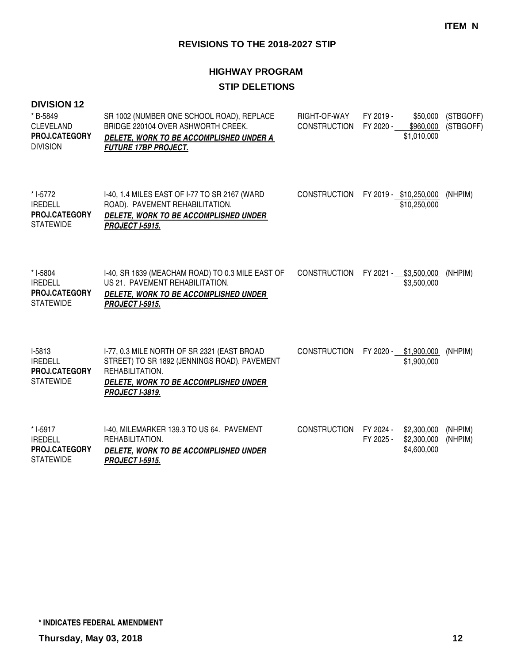# **HIGHWAY PROGRAM STIP DELETIONS**

#### **DIVISION 12**

| * B-5849<br><b>CLEVELAND</b><br><b>PROJ.CATEGORY</b><br><b>DIVISION</b> | SR 1002 (NUMBER ONE SCHOOL ROAD), REPLACE<br>BRIDGE 220104 OVER ASHWORTH CREEK.<br>DELETE, WORK TO BE ACCOMPLISHED UNDER A<br><b>FUTURE 17BP PROJECT.</b>                         | RIGHT-OF-WAY<br><b>CONSTRUCTION</b> | FY 2019 -<br>\$50,000<br>FY 2020 -<br>\$960,000<br>\$1,010,000      | (STBGOFF)<br>(STBGOFF) |
|-------------------------------------------------------------------------|-----------------------------------------------------------------------------------------------------------------------------------------------------------------------------------|-------------------------------------|---------------------------------------------------------------------|------------------------|
| * I-5772<br><b>IREDELL</b><br>PROJ.CATEGORY<br><b>STATEWIDE</b>         | I-40, 1.4 MILES EAST OF I-77 TO SR 2167 (WARD<br>ROAD). PAVEMENT REHABILITATION.<br>DELETE, WORK TO BE ACCOMPLISHED UNDER<br><b>PROJECT I-5915.</b>                               | CONSTRUCTION                        | FY 2019 - \$10,250,000<br>\$10,250,000                              | (NHPIM)                |
| * I-5804<br><b>IREDELL</b><br>PROJ.CATEGORY<br><b>STATEWIDE</b>         | I-40, SR 1639 (MEACHAM ROAD) TO 0.3 MILE EAST OF<br>US 21. PAVEMENT REHABILITATION.<br>DELETE, WORK TO BE ACCOMPLISHED UNDER<br><b>PROJECT I-5915.</b>                            | CONSTRUCTION                        | FY 2021 - \$3,500,000<br>\$3,500,000                                | (NHPIM)                |
| I-5813<br><b>IREDELL</b><br><b>PROJ.CATEGORY</b><br><b>STATEWIDE</b>    | I-77, 0.3 MILE NORTH OF SR 2321 (EAST BROAD<br>STREET) TO SR 1892 (JENNINGS ROAD). PAVEMENT<br>REHABILITATION.<br>DELETE, WORK TO BE ACCOMPLISHED UNDER<br><b>PROJECT I-3819.</b> | <b>CONSTRUCTION</b>                 | FY 2020 -<br>\$1,900,000<br>\$1,900,000                             | (NHPIM)                |
| * I-5917<br><b>IREDELL</b><br>PROJ.CATEGORY<br><b>STATEWIDE</b>         | I-40, MILEMARKER 139.3 TO US 64. PAVEMENT<br>REHABILITATION.<br><b>DELETE, WORK TO BE ACCOMPLISHED UNDER</b><br><b>PROJECT I-5915.</b>                                            | CONSTRUCTION                        | FY 2024 -<br>\$2,300,000<br>FY 2025 -<br>\$2,300,000<br>\$4,600,000 | (NHPIM)<br>(NHPIM)     |

**\* INDICATES FEDERAL AMENDMENT**